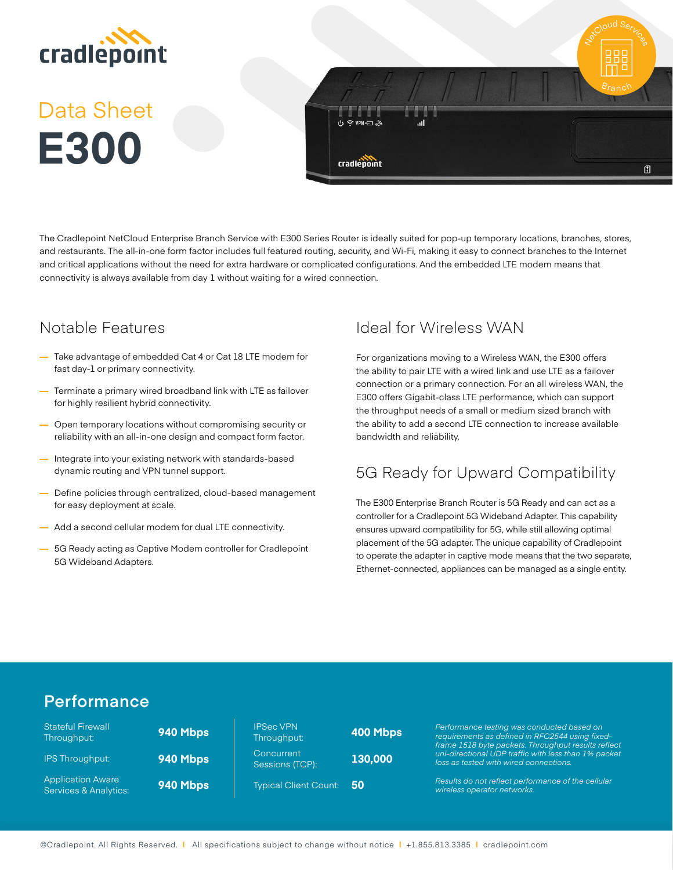

# Data Sheet **E300**



The Cradlepoint NetCloud Enterprise Branch Service with E300 Series Router is ideally suited for pop-up temporary locations, branches, stores, and restaurants. The all-in-one form factor includes full featured routing, security, and Wi-Fi, making it easy to connect branches to the Internet and critical applications without the need for extra hardware or complicated configurations. And the embedded LTE modem means that connectivity is always available from day 1 without waiting for a wired connection.

# Notable Features

- **—** Take advantage of embedded Cat 4 or Cat 18 LTE modem for fast day-1 or primary connectivity.
- **—** Terminate a primary wired broadband link with LTE as failover for highly resilient hybrid connectivity.
- **—** Open temporary locations without compromising security or reliability with an all-in-one design and compact form factor.
- **—** Integrate into your existing network with standards-based dynamic routing and VPN tunnel support.
- **—** Define policies through centralized, cloud-based management for easy deployment at scale.
- **—** Add a second cellular modem for dual LTE connectivity.
- **—** 5G Ready acting as Captive Modem controller for Cradlepoint 5G Wideband Adapters.

# Ideal for Wireless WAN

For organizations moving to a Wireless WAN, the E300 offers the ability to pair LTE with a wired link and use LTE as a failover connection or a primary connection. For an all wireless WAN, the E300 offers Gigabit-class LTE performance, which can support the throughput needs of a small or medium sized branch with the ability to add a second LTE connection to increase available bandwidth and reliability.

# 5G Ready for Upward Compatibility

The E300 Enterprise Branch Router is 5G Ready and can act as a controller for a Cradlepoint 5G Wideband Adapter. This capability ensures upward compatibility for 5G, while still allowing optimal placement of the 5G adapter. The unique capability of Cradlepoint to operate the adapter in captive mode means that the two separate, Ethernet-connected, appliances can be managed as a single entity.

# **Performance**

| <b>Stateful Firewall</b><br>Throughput:                      | 940 Mbps | <b>IPSec VPN</b><br>Throughput: | 40 |
|--------------------------------------------------------------|----------|---------------------------------|----|
| <b>IPS Throughput:</b>                                       | 940 Mbps | Concurrent<br>Sessions (TCP):   | 13 |
| <b>Application Aware</b><br><b>Services &amp; Analytics:</b> | 940 Mbps | <b>Typical Client Count:</b>    | 50 |

| <b>IPSec VPN</b><br>Throughput: | <b>400 Mbr</b> |
|---------------------------------|----------------|
| Concurrent<br>Sessions (TCP):   | 130,000        |
| <b>Typical Client Count:</b>    | 50             |

Throughput: **400 Mbps** *Performance testing was conducted based on requirements as defined in RFC2544 using fixedframe 1518 byte packets. Throughput results reflect uni-directional UDP traffic with less than 1% packet loss as tested with wired connections.* 

> *Results do not reflect performance of the cellular wireless operator networks.*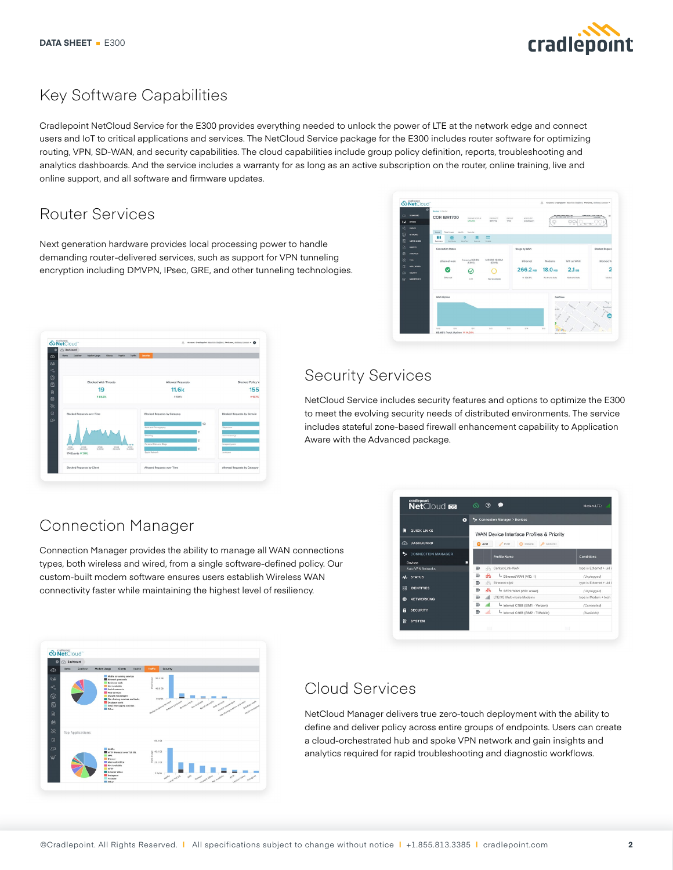

## Key Software Capabilities

Cradlepoint NetCloud Service for the E300 provides everything needed to unlock the power of LTE at the network edge and connect users and IoT to critical applications and services. The NetCloud Service package for the E300 includes router software for optimizing routing, VPN, SD-WAN, and security capabilities. The cloud capabilities include group policy definition, reports, troubleshooting and analytics dashboards. And the service includes a warranty for as long as an active subscription on the router, online training, live and online support, and all software and firmware updates.

# Router Services

Next generation hardware provides local processing power to handle demanding router-delivered services, such as support for VPN tunneling encryption including DMVPN, IPsec, GRE, and other tunneling technologies.



|              | <b><i><u>&amp; NetCloud</u></i></b>                                              |                                     |                                   |
|--------------|----------------------------------------------------------------------------------|-------------------------------------|-----------------------------------|
| c            | <b>C Dashboard</b>                                                               |                                     |                                   |
| $\circ$      | <b>Home</b><br>Centere<br><b>Modern Elizabe</b><br><b>Clintes</b><br>Health.     | trame<br>Security                   |                                   |
| $\omega$     |                                                                                  |                                     |                                   |
| $\alpha_0^0$ |                                                                                  |                                     |                                   |
|              |                                                                                  |                                     |                                   |
| ⊛<br>囥       | <b>Blocked Web Threats</b>                                                       | Allowed Requests                    | <b>Blocked Policy V</b>           |
|              | 19                                                                               | <b>11.6k</b>                        | 155                               |
| 自            |                                                                                  |                                     |                                   |
| 齮            | 4 59.6%                                                                          | 4.18.1%                             | <b>110.7%</b>                     |
| 滚            |                                                                                  |                                     |                                   |
| $\Box$       | Blocked Requests over Time                                                       | <b>Blocked Requests by Category</b> | <b>Blocked Requests by Domain</b> |
| $\infty$     |                                                                                  |                                     |                                   |
|              |                                                                                  | 12<br><b>Adult and Pernography</b>  | Stage com                         |
|              |                                                                                  | 11                                  |                                   |
|              |                                                                                  | Cheating                            | reservestock lo                   |
|              |                                                                                  | 11<br>Personal Sites and Blogs<br>  | lovepanky com                     |
|              | ence<br>03/08<br>0708<br>cros<br><b>OGOOMA</b><br>12:00 AM<br>1202054<br>06 00PM | 0309<br>11<br><b>12:00AM</b>        |                                   |
|              | 174 Events 4 7.0%                                                                | Social Network                      | <b>ZYUK-DOTT</b>                  |
|              |                                                                                  |                                     |                                   |

# Security Services

NetCloud Service includes security features and options to optimize the E300 to meet the evolving security needs of distributed environments. The service includes stateful zone-based firewall enhancement capability to Application Aware with the Advanced package.

# Connection Manager

Connection Manager provides the ability to manage all WAN connections types, both wireless and wired, from a single software-defined policy. Our custom-built modem software ensures users establish Wireless WAN connectivity faster while maintaining the highest level of resiliency.

|                                           | ø<br>۰. |                   | <b>Connection Manager &gt; Devices</b>           |                        |
|-------------------------------------------|---------|-------------------|--------------------------------------------------|------------------------|
| <b>QUICK LINKS</b>                        |         |                   | WAN Device Interface Profiles & Priority         |                        |
| <b>DASHBOARD</b><br>⋒                     |         | <b>B</b> Add      | Control<br>$\mathscr{O}$ Edit<br><b>C</b> Delete |                        |
| ↖<br><b>CONNECTION MANAGER</b><br>Devices |         |                   | <b>Profile Name</b>                              | Conditions             |
| Auto VPN Networks                         |         | 三<br>rb.          | CenturyLink-WAN                                  | type is Ethernet + uid |
| A STATUS                                  |         | 冊<br>ಹಿ           | Ethernet WAN (VID: 1)                            | (Unplugged)            |
|                                           |         | 目<br>÷.           | Ethernet-sfp0                                    | type is Ethernet + uid |
| <b>PP</b><br><b>IDENTITIES</b>            |         | iii<br>ಹಿ         | SFPO WAN (VID: unset)                            | (Unplugged)            |
| <b>NETWORKING</b><br>௵                    |         | $\equiv:$<br>all. | LTE/3G Multi-mode Modems                         | type is Modem + tech   |
|                                           |         | Ξ,<br>al.         | Internal C18B (SIM1 - Verizon)                   | (Connected)            |
| A<br><b>SECURITY</b>                      |         | $\equiv$<br>ail.  | Internal C18B (SIM2 - T-Mobile)                  | (Available)            |

| a Dashboard<br>$\circ$                   |                         |                                                                                                                                                                                                                                                              |                                                                                                                         |
|------------------------------------------|-------------------------|--------------------------------------------------------------------------------------------------------------------------------------------------------------------------------------------------------------------------------------------------------------|-------------------------------------------------------------------------------------------------------------------------|
| Home<br>$\Omega$                         | GeoView                 | Modern Usage<br><b>Clients</b><br>Health                                                                                                                                                                                                                     | Traffic<br>Security                                                                                                     |
| that<br>$\alpha_0^0$<br>⊛<br>圆<br>自<br>曲 |                         | Media streaming services<br><b>Network</b> protecols<br><b>Rusiness tools</b><br>Not Available<br>Social networks<br>Web services<br>Instant messengers<br>File sharing services and tools.<br>Outabase tools<br>Email messaging services<br><b>Di</b> Other | Data Usage<br>93.1 GB<br>46.6 CB<br>and the state of the state of the contract of<br>and a second control of the second |
| ×<br>戊                                   | <b>Top Applications</b> |                                                                                                                                                                                                                                                              | <b>GR.R.CR</b>                                                                                                          |
| $\alpha$<br>सूर्                         |                         | <b>Retfix</b><br>HTTP Protocol over TLS SSL<br><b>MP4</b><br>Oissey +<br>Microsoft Office<br>Not Available<br>HTTP                                                                                                                                           | $\frac{8}{3}$ 46.6 GB<br>$\frac{3}{2}$<br>$\frac{3}{2}$ 23.3 GB                                                         |

#### Cloud Services

NetCloud Manager delivers true zero-touch deployment with the ability to define and deliver policy across entire groups of endpoints. Users can create a cloud-orchestrated hub and spoke VPN network and gain insights and analytics required for rapid troubleshooting and diagnostic workflows.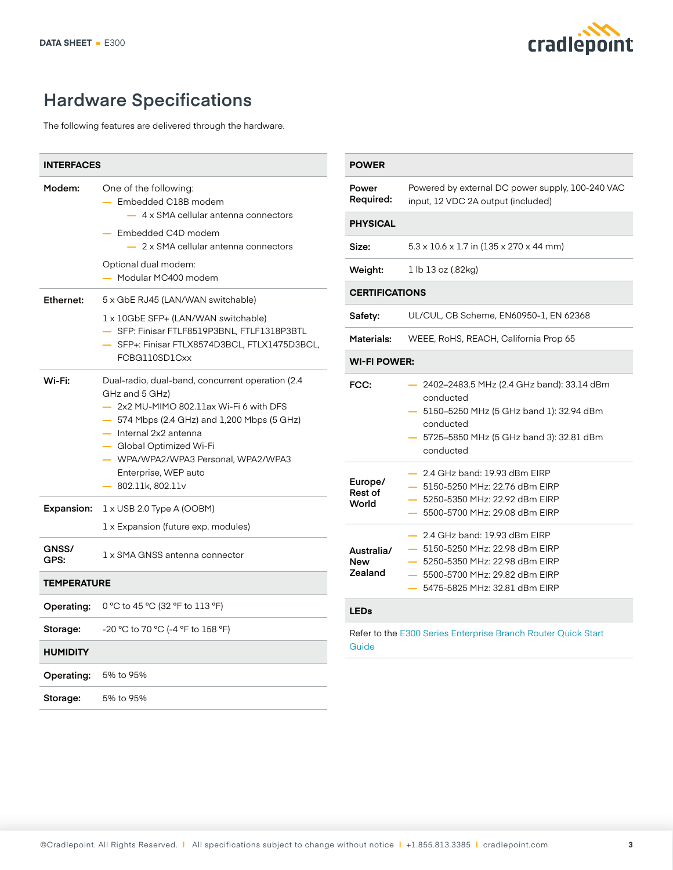

# **Hardware Specifications**

The following features are delivered through the hardware.

| <b>INTERFACES</b>  |                                                                                                                                                                                                                                                                                                                    |
|--------------------|--------------------------------------------------------------------------------------------------------------------------------------------------------------------------------------------------------------------------------------------------------------------------------------------------------------------|
| Modem:             | One of the following:<br>- Embedded C18B modem<br>4 x SMA cellular antenna connectors<br>- Embedded C4D modem<br>2 x SMA cellular antenna connectors<br>Optional dual modem:<br>- Modular MC400 modem                                                                                                              |
| <b>Ethernet:</b>   | 5 x GbE RJ45 (LAN/WAN switchable)                                                                                                                                                                                                                                                                                  |
|                    | 1 x 10GbE SFP+ (LAN/WAN switchable)<br>- SFP: Finisar FTLF8519P3BNL, FTLF1318P3BTL<br>SFP+: Finisar FTLX8574D3BCL, FTLX1475D3BCL,<br>FCBG110SD1Cxx                                                                                                                                                                 |
| Wi-Fi:             | Dual-radio, dual-band, concurrent operation (2.4)<br>GHz and 5 GHz)<br>$-2x2$ MU-MIMO 802.11ax Wi-Fi 6 with DFS<br>$-$ 574 Mbps (2.4 GHz) and 1,200 Mbps (5 GHz)<br>$-$ Internal 2x2 antenna<br>- Global Optimized Wi-Fi<br>- WPA/WPA2/WPA3 Personal, WPA2/WPA3<br>Enterprise, WEP auto<br>$-802.11$ k, 802.11 $v$ |
| <b>Expansion:</b>  | $1 \times$ USB 2.0 Type A (OOBM)<br>1 x Expansion (future exp. modules)                                                                                                                                                                                                                                            |
| GNSS/<br>GPS:      | 1 x SMA GNSS antenna connector                                                                                                                                                                                                                                                                                     |
| <b>TEMPERATURE</b> |                                                                                                                                                                                                                                                                                                                    |
| <b>Operating:</b>  | 0 °C to 45 °C (32 °F to 113 °F)                                                                                                                                                                                                                                                                                    |
| Storage:           | -20 °C to 70 °C (-4 °F to 158 °F)                                                                                                                                                                                                                                                                                  |
| <b>HUMIDITY</b>    |                                                                                                                                                                                                                                                                                                                    |
| Operating:         | 5% to 95%                                                                                                                                                                                                                                                                                                          |
| Storage:           | 5% to 95%                                                                                                                                                                                                                                                                                                          |

| <b>POWER</b>                        |                                                                                                                                                                                                |  |
|-------------------------------------|------------------------------------------------------------------------------------------------------------------------------------------------------------------------------------------------|--|
| Power<br>Required:                  | Powered by external DC power supply, 100-240 VAC<br>input, 12 VDC 2A output (included)                                                                                                         |  |
| <b>PHYSICAL</b>                     |                                                                                                                                                                                                |  |
| Size:                               | $5.3 \times 10.6 \times 1.7$ in (135 x 270 x 44 mm)                                                                                                                                            |  |
| Weight:                             | 1 lb 13 oz (.82kg)                                                                                                                                                                             |  |
| <b>CERTIFICATIONS</b>               |                                                                                                                                                                                                |  |
| Safety:                             | UL/CUL, CB Scheme, EN60950-1, EN 62368                                                                                                                                                         |  |
| Materials:                          | WEEE, RoHS, REACH, California Prop 65                                                                                                                                                          |  |
| <b>WI-FI POWER:</b>                 |                                                                                                                                                                                                |  |
| FCC:                                | 2402-2483.5 MHz (2.4 GHz band): 33.14 dBm<br>conducted<br>5150-5250 MHz (5 GHz band 1): 32.94 dBm<br>conducted<br>5725–5850 MHz (5 GHz band 3): 32.81 dBm<br>conducted                         |  |
| Europe/<br>Rest of<br>World         | - 2.4 GHz band: 19.93 dBm EIRP<br>- 5150-5250 MHz: 22.76 dBm EIRP<br>5250-5350 MHz: 22.92 dBm EIRP<br>5500-5700 MHz: 29.08 dBm EIRP                                                            |  |
| Australia/<br><b>New</b><br>Zealand | 2.4 GHz band: 19.93 dBm EIRP<br>- 5150-5250 MHz: 22.98 dBm EIRP<br>5250-5350 MHz: 22.98 dBm EIRP<br>5500-5700 MHz: 29.82 dBm EIRP<br>$\overline{\phantom{a}}$<br>5475-5825 MHz: 32.81 dBm EIRP |  |
| <b>LEDs</b>                         |                                                                                                                                                                                                |  |

Refer to the [E300 Series Enterprise Branch Router Quick Start](https://customer.cradlepoint.com/s/article/E300-Series-Enterprise-Branch-Router-Quick-Start-Guide)  [Guide](https://customer.cradlepoint.com/s/article/E300-Series-Enterprise-Branch-Router-Quick-Start-Guide)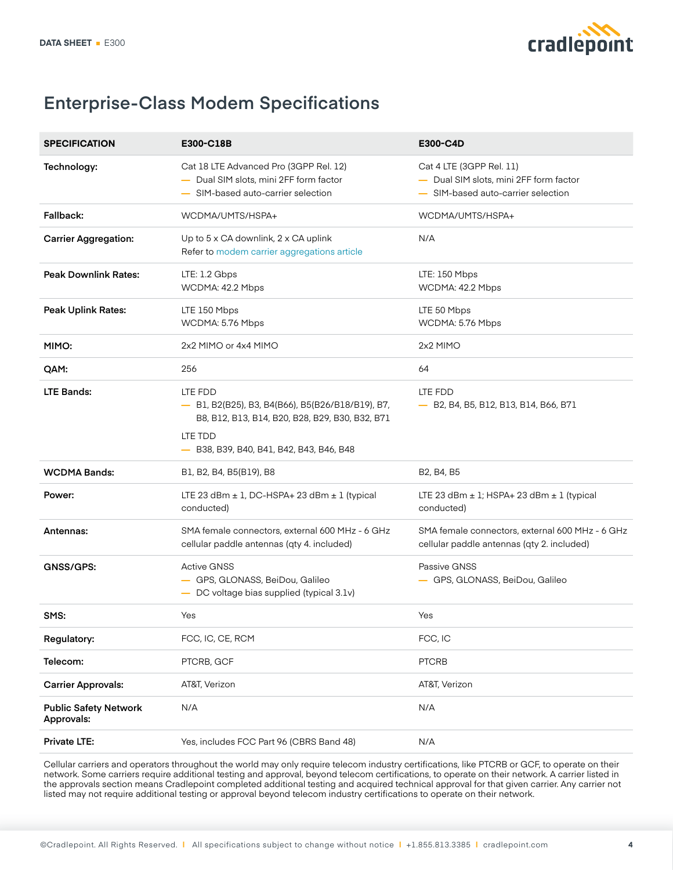

# **Enterprise-Class Modem Specifications**

| <b>SPECIFICATION</b>                       | E300-C18B                                                                                                                                                             | E300-C4D                                                                                                 |
|--------------------------------------------|-----------------------------------------------------------------------------------------------------------------------------------------------------------------------|----------------------------------------------------------------------------------------------------------|
| Technology:                                | Cat 18 LTE Advanced Pro (3GPP Rel. 12)<br>- Dual SIM slots, mini 2FF form factor<br>- SIM-based auto-carrier selection                                                | Cat 4 LTE (3GPP Rel. 11)<br>- Dual SIM slots, mini 2FF form factor<br>- SIM-based auto-carrier selection |
| Fallback:                                  | WCDMA/UMTS/HSPA+                                                                                                                                                      | WCDMA/UMTS/HSPA+                                                                                         |
| <b>Carrier Aggregation:</b>                | Up to 5 x CA downlink, 2 x CA uplink<br>Refer to modem carrier aggregations article                                                                                   | N/A                                                                                                      |
| <b>Peak Downlink Rates:</b>                | LTE: 1.2 Gbps<br>WCDMA: 42.2 Mbps                                                                                                                                     | LTE: 150 Mbps<br>WCDMA: 42.2 Mbps                                                                        |
| Peak Uplink Rates:                         | LTE 150 Mbps<br>WCDMA: 5.76 Mbps                                                                                                                                      | LTE 50 Mbps<br>WCDMA: 5.76 Mbps                                                                          |
| MIMO:                                      | 2x2 MIMO or 4x4 MIMO                                                                                                                                                  | 2x2 MIMO                                                                                                 |
| QAM:                                       | 256                                                                                                                                                                   | 64                                                                                                       |
| <b>LTE Bands:</b>                          | LTE FDD<br>- B1, B2(B25), B3, B4(B66), B5(B26/B18/B19), B7,<br>B8, B12, B13, B14, B20, B28, B29, B30, B32, B71<br>LTE TDD<br>- B38, B39, B40, B41, B42, B43, B46, B48 | LTE FDD<br>- B2, B4, B5, B12, B13, B14, B66, B71                                                         |
| <b>WCDMA Bands:</b>                        | B1, B2, B4, B5(B19), B8                                                                                                                                               | B <sub>2</sub> , B <sub>4</sub> , B <sub>5</sub>                                                         |
| Power:                                     | LTE 23 dBm $\pm$ 1, DC-HSPA+ 23 dBm $\pm$ 1 (typical<br>conducted)                                                                                                    | LTE 23 dBm $\pm$ 1; HSPA+ 23 dBm $\pm$ 1 (typical<br>conducted)                                          |
| Antennas:                                  | SMA female connectors, external 600 MHz - 6 GHz<br>cellular paddle antennas (qty 4. included)                                                                         | SMA female connectors, external 600 MHz - 6 GHz<br>cellular paddle antennas (qty 2. included)            |
| GNSS/GPS:                                  | <b>Active GNSS</b><br>- GPS, GLONASS, BeiDou, Galileo<br>- DC voltage bias supplied (typical 3.1v)                                                                    | Passive GNSS<br>- GPS, GLONASS, BeiDou, Galileo                                                          |
| SMS:                                       | Yes                                                                                                                                                                   | Yes                                                                                                      |
| Regulatory:                                | FCC, IC, CE, RCM                                                                                                                                                      | FCC, IC                                                                                                  |
| Telecom:                                   | PTCRB, GCF                                                                                                                                                            | <b>PTCRB</b>                                                                                             |
| <b>Carrier Approvals:</b>                  | AT&T, Verizon                                                                                                                                                         | AT&T, Verizon                                                                                            |
| <b>Public Safety Network</b><br>Approvals: | N/A                                                                                                                                                                   | N/A                                                                                                      |
| Private LTE:                               | Yes, includes FCC Part 96 (CBRS Band 48)                                                                                                                              | N/A                                                                                                      |

Cellular carriers and operators throughout the world may only require telecom industry certifications, like PTCRB or GCF, to operate on their network. Some carriers require additional testing and approval, beyond telecom certifications, to operate on their network. A carrier listed in the approvals section means Cradlepoint completed additional testing and acquired technical approval for that given carrier. Any carrier not listed may not require additional testing or approval beyond telecom industry certifications to operate on their network.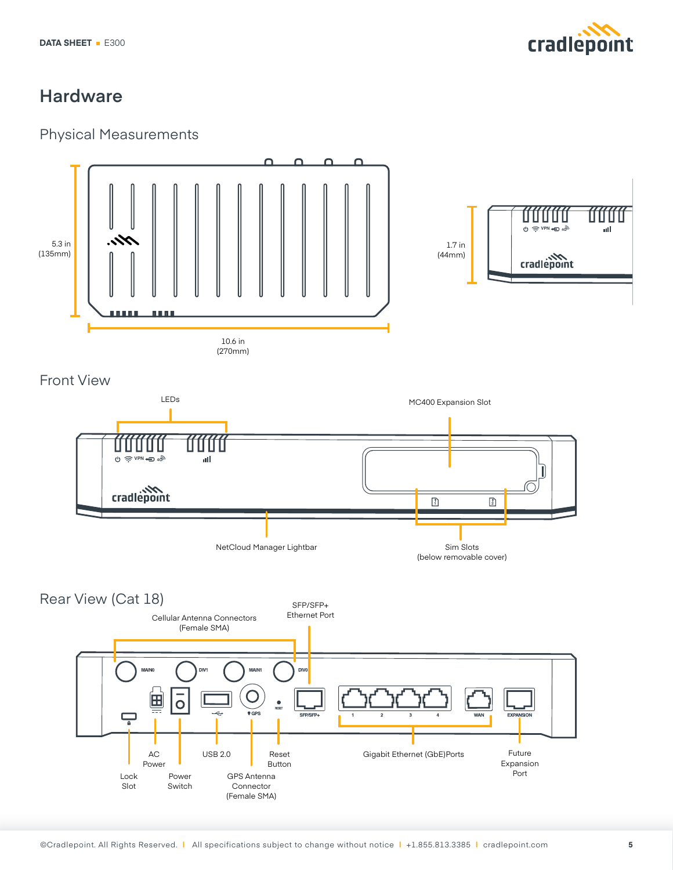

# **Hardware**

#### Physical Measurements

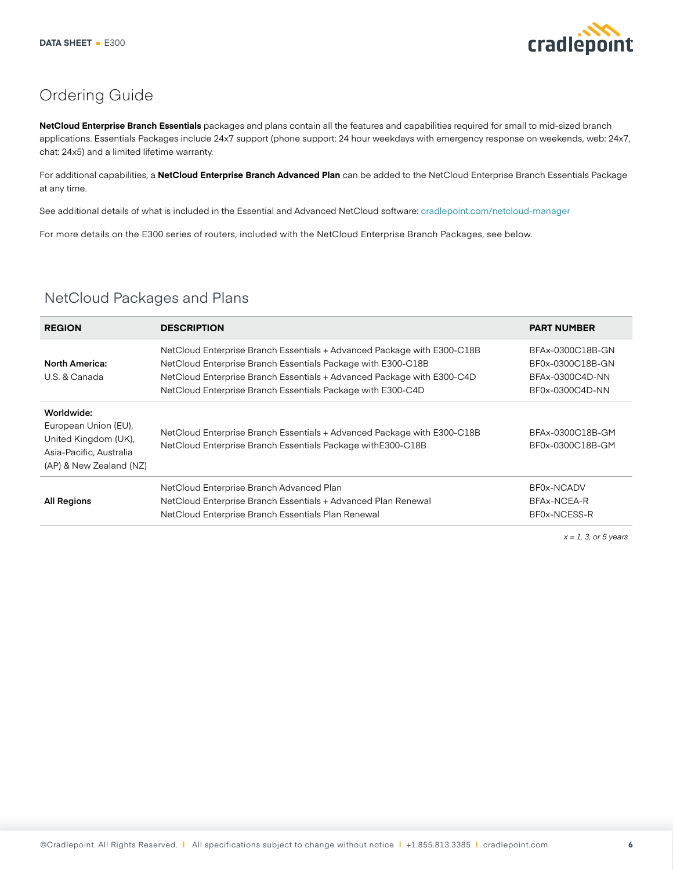

# Ordering Guide

**NetCloud Enterprise Branch Essentials** packages and plans contain all the features and capabilities required for small to mid-sized branch applications. Essentials Packages include 24x7 support (phone support: 24 hour weekdays with emergency response on weekends, web: 24x7, chat: 24x5) and a limited lifetime warranty.

For additional capabilities, a **NetCloud Enterprise Branch Advanced Plan** can be added to the NetCloud Enterprise Branch Essentials Package at any time.

See additional details of what is included in the Essential and Advanced NetCloud software: [cradlepoint.com/net](https://cradlepoint.com/netcloud-manager)cloud-manager

For more details on the E300 series of routers, included with the NetCloud Enterprise Branch Packages, see below.

| <b>REGION</b>                                                                                                    | <b>DESCRIPTION</b>                                                                                                                                                                                                                                                               | <b>PART NUMBER</b>                                                         |
|------------------------------------------------------------------------------------------------------------------|----------------------------------------------------------------------------------------------------------------------------------------------------------------------------------------------------------------------------------------------------------------------------------|----------------------------------------------------------------------------|
| <b>North America:</b><br>U.S. & Canada                                                                           | NetCloud Enterprise Branch Essentials + Advanced Package with E300-C18B<br>NetCloud Enterprise Branch Essentials Package with E300-C18B<br>NetCloud Enterprise Branch Essentials + Advanced Package with E300-C4D<br>NetCloud Enterprise Branch Essentials Package with E300-C4D | BFAx-0300C18B-GN<br>BF0x-0300C18B-GN<br>BFAx-0300C4D-NN<br>BF0x-0300C4D-NN |
| Worldwide:<br>European Union (EU),<br>United Kingdom (UK),<br>Asia-Pacific, Australia<br>(AP) & New Zealand (NZ) | NetCloud Enterprise Branch Essentials + Advanced Package with E300-C18B<br>NetCloud Enterprise Branch Essentials Package with E300-C18B                                                                                                                                          | BFAx-0300C18B-GM<br>BF0x-0300C18B-GM                                       |
| <b>All Regions</b>                                                                                               | NetCloud Enterprise Branch Advanced Plan<br>NetCloud Enterprise Branch Essentials + Advanced Plan Renewal<br>NetCloud Enterprise Branch Essentials Plan Renewal                                                                                                                  | BF0x-NCADV<br>BFAx-NCEA-R<br>BF0x-NCESS-R                                  |

#### NetCloud Packages and Plans

*x = 1, 3, or 5 years*